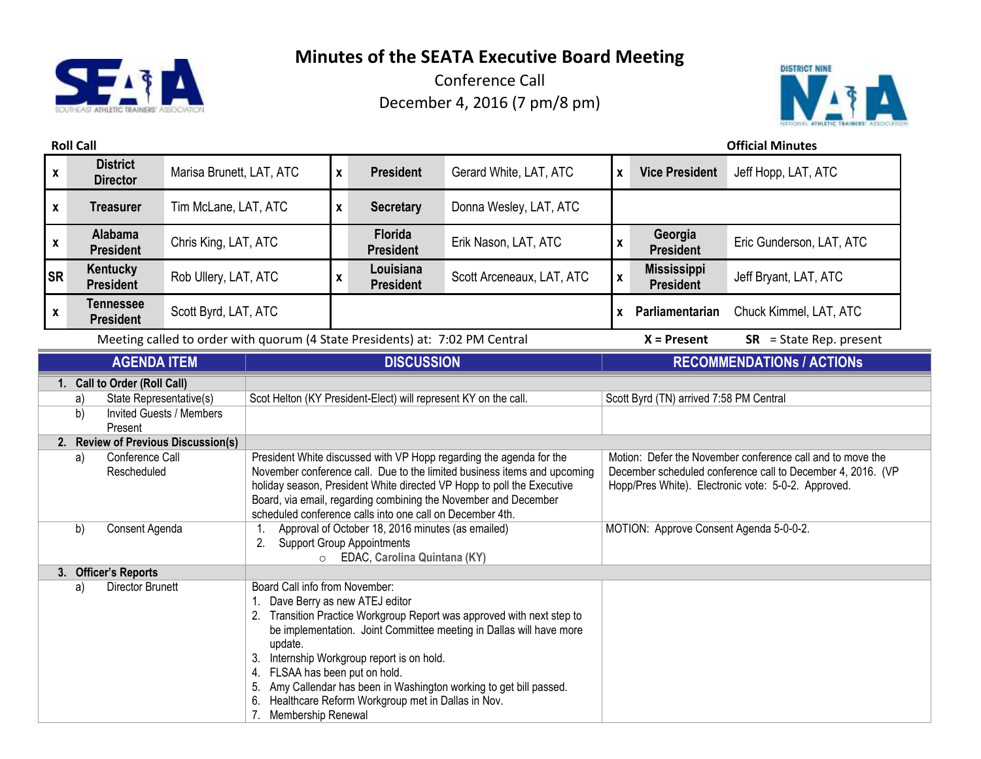

Conference Call December 4, 2016 (7 pm/8 pm)



**Roll Call Official Minutes**

| $\pmb{\mathsf{x}}$            | <b>District</b><br><b>Director</b>                                                                                | Marisa Brunett, LAT, ATC                                                                                                                                                                                                                                                                                                                                                                                                                                               |                                                                                                                                                                                                                                                                                                                                                           | $\mathbf{x}$                                                                 | <b>President</b>                   | Gerard White, LAT, ATC                                                                                                                                                           | $\mathbf{x}$       | <b>Vice President</b>                  | Jeff Hopp, LAT, ATC              |  |
|-------------------------------|-------------------------------------------------------------------------------------------------------------------|------------------------------------------------------------------------------------------------------------------------------------------------------------------------------------------------------------------------------------------------------------------------------------------------------------------------------------------------------------------------------------------------------------------------------------------------------------------------|-----------------------------------------------------------------------------------------------------------------------------------------------------------------------------------------------------------------------------------------------------------------------------------------------------------------------------------------------------------|------------------------------------------------------------------------------|------------------------------------|----------------------------------------------------------------------------------------------------------------------------------------------------------------------------------|--------------------|----------------------------------------|----------------------------------|--|
| $\pmb{\mathsf{x}}$            | <b>Treasurer</b>                                                                                                  | Tim McLane, LAT, ATC                                                                                                                                                                                                                                                                                                                                                                                                                                                   |                                                                                                                                                                                                                                                                                                                                                           | $\mathbf{x}$                                                                 | <b>Secretary</b>                   | Donna Wesley, LAT, ATC                                                                                                                                                           |                    |                                        |                                  |  |
| $\pmb{\mathsf{x}}$            | <b>Alabama</b><br><b>President</b>                                                                                | Chris King, LAT, ATC                                                                                                                                                                                                                                                                                                                                                                                                                                                   |                                                                                                                                                                                                                                                                                                                                                           |                                                                              | <b>Florida</b><br><b>President</b> | Erik Nason, LAT, ATC                                                                                                                                                             | $\pmb{\mathsf{x}}$ | Georgia<br><b>President</b>            | Eric Gunderson, LAT, ATC         |  |
| <b>SR</b>                     | Kentucky<br><b>President</b>                                                                                      | Rob Ullery, LAT, ATC                                                                                                                                                                                                                                                                                                                                                                                                                                                   |                                                                                                                                                                                                                                                                                                                                                           | $\pmb{\mathsf{x}}$                                                           | Louisiana<br><b>President</b>      | Scott Arceneaux, LAT, ATC                                                                                                                                                        | $\mathbf{x}$       | <b>Mississippi</b><br><b>President</b> | Jeff Bryant, LAT, ATC            |  |
| $\pmb{\mathsf{x}}$            | <b>Tennessee</b><br><b>President</b>                                                                              | Scott Byrd, LAT, ATC                                                                                                                                                                                                                                                                                                                                                                                                                                                   |                                                                                                                                                                                                                                                                                                                                                           |                                                                              |                                    |                                                                                                                                                                                  |                    | x Parliamentarian                      | Chuck Kimmel, LAT, ATC           |  |
|                               |                                                                                                                   |                                                                                                                                                                                                                                                                                                                                                                                                                                                                        |                                                                                                                                                                                                                                                                                                                                                           | Meeting called to order with quorum (4 State Presidents) at: 7:02 PM Central |                                    |                                                                                                                                                                                  |                    | $X =$ Present                          | $SR = State Rep. present$        |  |
|                               | <b>AGENDA ITEM</b>                                                                                                |                                                                                                                                                                                                                                                                                                                                                                                                                                                                        |                                                                                                                                                                                                                                                                                                                                                           |                                                                              | <b>DISCUSSION</b>                  |                                                                                                                                                                                  |                    |                                        | <b>RECOMMENDATIONS / ACTIONS</b> |  |
|                               | 1. Call to Order (Roll Call)<br>State Representative(s)<br>a)<br>b)<br><b>Invited Guests / Members</b><br>Present |                                                                                                                                                                                                                                                                                                                                                                                                                                                                        | Scot Helton (KY President-Elect) will represent KY on the call.                                                                                                                                                                                                                                                                                           |                                                                              |                                    | Scott Byrd (TN) arrived 7:58 PM Central                                                                                                                                          |                    |                                        |                                  |  |
|                               | 2. Review of Previous Discussion(s)                                                                               |                                                                                                                                                                                                                                                                                                                                                                                                                                                                        |                                                                                                                                                                                                                                                                                                                                                           |                                                                              |                                    |                                                                                                                                                                                  |                    |                                        |                                  |  |
|                               | Conference Call<br>a)<br>Rescheduled                                                                              |                                                                                                                                                                                                                                                                                                                                                                                                                                                                        | President White discussed with VP Hopp regarding the agenda for the<br>November conference call. Due to the limited business items and upcoming<br>holiday season, President White directed VP Hopp to poll the Executive<br>Board, via email, regarding combining the November and December<br>scheduled conference calls into one call on December 4th. |                                                                              |                                    | Motion: Defer the November conference call and to move the<br>December scheduled conference call to December 4, 2016. (VP<br>Hopp/Pres White). Electronic vote: 5-0-2. Approved. |                    |                                        |                                  |  |
|                               | b)<br>Consent Agenda                                                                                              |                                                                                                                                                                                                                                                                                                                                                                                                                                                                        | Approval of October 18, 2016 minutes (as emailed)<br>1.<br><b>Support Group Appointments</b><br>2.<br>EDAC, Carolina Quintana (KY)<br>$\circ$                                                                                                                                                                                                             |                                                                              |                                    | MOTION: Approve Consent Agenda 5-0-0-2.                                                                                                                                          |                    |                                        |                                  |  |
|                               | 3. Officer's Reports                                                                                              |                                                                                                                                                                                                                                                                                                                                                                                                                                                                        |                                                                                                                                                                                                                                                                                                                                                           |                                                                              |                                    |                                                                                                                                                                                  |                    |                                        |                                  |  |
| <b>Director Brunett</b><br>a) |                                                                                                                   | Board Call info from November:<br>1. Dave Berry as new ATEJ editor<br>2. Transition Practice Workgroup Report was approved with next step to<br>be implementation. Joint Committee meeting in Dallas will have more<br>update.<br>3. Internship Workgroup report is on hold.<br>4. FLSAA has been put on hold.<br>5. Amy Callendar has been in Washington working to get bill passed.<br>6. Healthcare Reform Workgroup met in Dallas in Nov.<br>7. Membership Renewal |                                                                                                                                                                                                                                                                                                                                                           |                                                                              |                                    |                                                                                                                                                                                  |                    |                                        |                                  |  |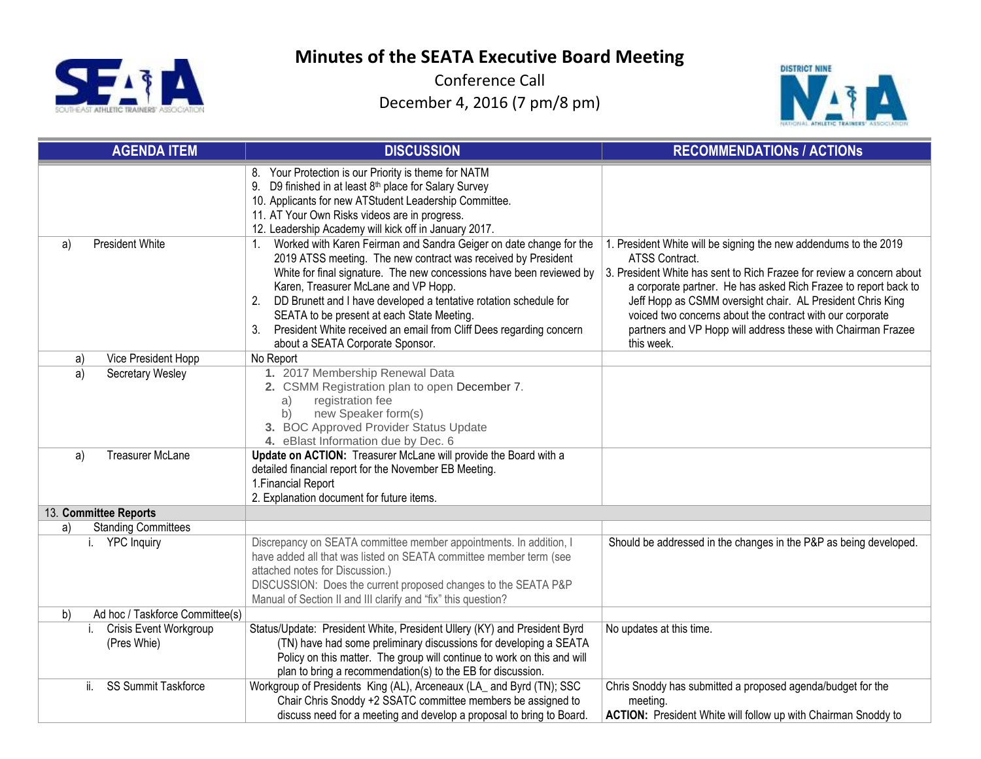

Conference Call December 4, 2016 (7 pm/8 pm)



| <b>AGENDA ITEM</b>                                 | <b>DISCUSSION</b>                                                                                                                                                                                                                                                                                                                                                                                                                                                                                         | <b>RECOMMENDATIONS / ACTIONS</b>                                                                                                                                                                                                                                                                                                                                                                                                        |
|----------------------------------------------------|-----------------------------------------------------------------------------------------------------------------------------------------------------------------------------------------------------------------------------------------------------------------------------------------------------------------------------------------------------------------------------------------------------------------------------------------------------------------------------------------------------------|-----------------------------------------------------------------------------------------------------------------------------------------------------------------------------------------------------------------------------------------------------------------------------------------------------------------------------------------------------------------------------------------------------------------------------------------|
|                                                    | 8. Your Protection is our Priority is theme for NATM<br>9. D9 finished in at least 8 <sup>th</sup> place for Salary Survey<br>10. Applicants for new ATStudent Leadership Committee.<br>11. AT Your Own Risks videos are in progress.<br>12. Leadership Academy will kick off in January 2017.                                                                                                                                                                                                            |                                                                                                                                                                                                                                                                                                                                                                                                                                         |
| President White<br>a)                              | Worked with Karen Feirman and Sandra Geiger on date change for the<br>$1_{\cdot}$<br>2019 ATSS meeting. The new contract was received by President<br>White for final signature. The new concessions have been reviewed by<br>Karen, Treasurer McLane and VP Hopp.<br>DD Brunett and I have developed a tentative rotation schedule for<br>2.<br>SEATA to be present at each State Meeting.<br>3. President White received an email from Cliff Dees regarding concern<br>about a SEATA Corporate Sponsor. | 1. President White will be signing the new addendums to the 2019<br>ATSS Contract.<br>3. President White has sent to Rich Frazee for review a concern about<br>a corporate partner. He has asked Rich Frazee to report back to<br>Jeff Hopp as CSMM oversight chair. AL President Chris King<br>voiced two concerns about the contract with our corporate<br>partners and VP Hopp will address these with Chairman Frazee<br>this week. |
| Vice President Hopp<br>a)                          | No Report                                                                                                                                                                                                                                                                                                                                                                                                                                                                                                 |                                                                                                                                                                                                                                                                                                                                                                                                                                         |
| a)<br>Secretary Wesley                             | 1. 2017 Membership Renewal Data<br>2. CSMM Registration plan to open December 7.<br>registration fee<br>a)<br>new Speaker form(s)<br>b)<br>3. BOC Approved Provider Status Update<br>4. eBlast Information due by Dec. 6                                                                                                                                                                                                                                                                                  |                                                                                                                                                                                                                                                                                                                                                                                                                                         |
| <b>Treasurer McLane</b><br>a)                      | Update on ACTION: Treasurer McLane will provide the Board with a<br>detailed financial report for the November EB Meeting.<br>1. Financial Report<br>2. Explanation document for future items.                                                                                                                                                                                                                                                                                                            |                                                                                                                                                                                                                                                                                                                                                                                                                                         |
| 13. Committee Reports                              |                                                                                                                                                                                                                                                                                                                                                                                                                                                                                                           |                                                                                                                                                                                                                                                                                                                                                                                                                                         |
| <b>Standing Committees</b><br>a)                   |                                                                                                                                                                                                                                                                                                                                                                                                                                                                                                           |                                                                                                                                                                                                                                                                                                                                                                                                                                         |
| i. YPC Inquiry                                     | Discrepancy on SEATA committee member appointments. In addition, I<br>have added all that was listed on SEATA committee member term (see<br>attached notes for Discussion.)<br>DISCUSSION: Does the current proposed changes to the SEATA P&P<br>Manual of Section II and III clarify and "fix" this question?                                                                                                                                                                                            | Should be addressed in the changes in the P&P as being developed.                                                                                                                                                                                                                                                                                                                                                                       |
| b)<br>Ad hoc / Taskforce Committee(s)              |                                                                                                                                                                                                                                                                                                                                                                                                                                                                                                           |                                                                                                                                                                                                                                                                                                                                                                                                                                         |
| <b>Crisis Event Workgroup</b><br>i.<br>(Pres Whie) | Status/Update: President White, President Ullery (KY) and President Byrd<br>(TN) have had some preliminary discussions for developing a SEATA<br>Policy on this matter. The group will continue to work on this and will<br>plan to bring a recommendation(s) to the EB for discussion.                                                                                                                                                                                                                   | No updates at this time.                                                                                                                                                                                                                                                                                                                                                                                                                |
| SS Summit Taskforce<br>ii.                         | Workgroup of Presidents King (AL), Arceneaux (LA_ and Byrd (TN); SSC<br>Chair Chris Snoddy +2 SSATC committee members be assigned to<br>discuss need for a meeting and develop a proposal to bring to Board.                                                                                                                                                                                                                                                                                              | Chris Snoddy has submitted a proposed agenda/budget for the<br>meeting.<br><b>ACTION:</b> President White will follow up with Chairman Snoddy to                                                                                                                                                                                                                                                                                        |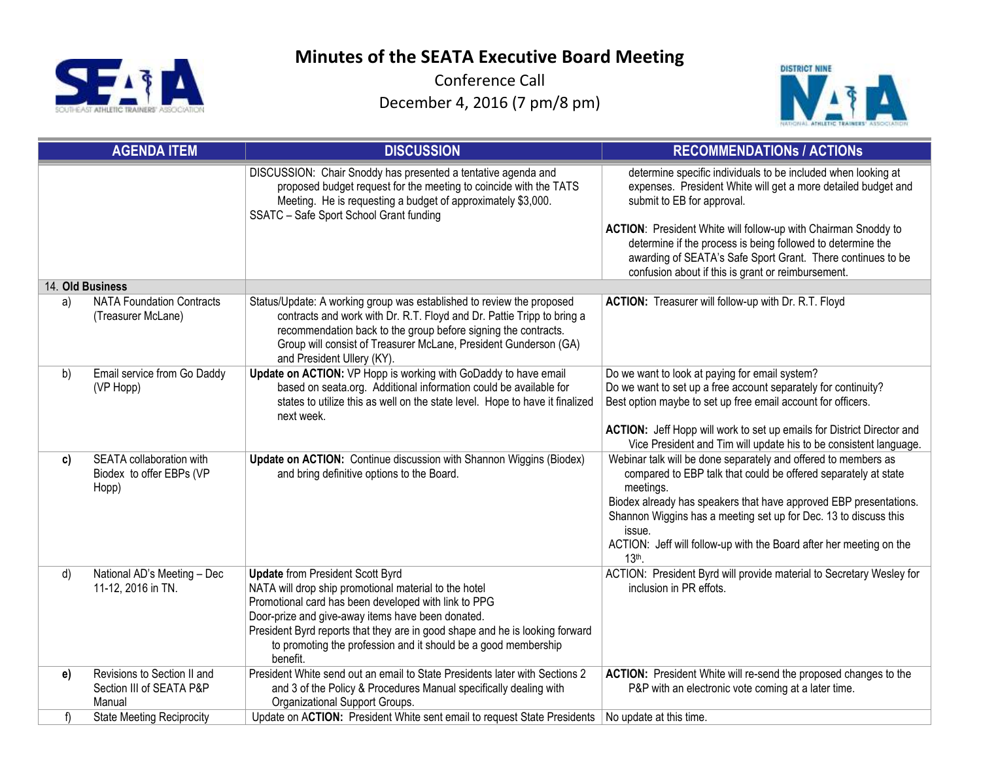

Conference Call December 4, 2016 (7 pm/8 pm)



|    | <b>AGENDA ITEM</b>                                                | <b>DISCUSSION</b>                                                                                                                                                                                                                                                                                                                                                           | <b>RECOMMENDATIONS / ACTIONS</b>                                                                                                                                                                                                                                                                                                                                                                                   |
|----|-------------------------------------------------------------------|-----------------------------------------------------------------------------------------------------------------------------------------------------------------------------------------------------------------------------------------------------------------------------------------------------------------------------------------------------------------------------|--------------------------------------------------------------------------------------------------------------------------------------------------------------------------------------------------------------------------------------------------------------------------------------------------------------------------------------------------------------------------------------------------------------------|
|    |                                                                   | DISCUSSION: Chair Snoddy has presented a tentative agenda and<br>proposed budget request for the meeting to coincide with the TATS<br>Meeting. He is requesting a budget of approximately \$3,000.<br>SSATC - Safe Sport School Grant funding                                                                                                                               | determine specific individuals to be included when looking at<br>expenses. President White will get a more detailed budget and<br>submit to EB for approval.<br>ACTION: President White will follow-up with Chairman Snoddy to<br>determine if the process is being followed to determine the<br>awarding of SEATA's Safe Sport Grant. There continues to be<br>confusion about if this is grant or reimbursement. |
|    | 14. Old Business                                                  |                                                                                                                                                                                                                                                                                                                                                                             |                                                                                                                                                                                                                                                                                                                                                                                                                    |
| a) | <b>NATA Foundation Contracts</b><br>(Treasurer McLane)            | Status/Update: A working group was established to review the proposed<br>contracts and work with Dr. R.T. Floyd and Dr. Pattie Tripp to bring a<br>recommendation back to the group before signing the contracts.<br>Group will consist of Treasurer McLane, President Gunderson (GA)<br>and President Ullery (KY).                                                         | ACTION: Treasurer will follow-up with Dr. R.T. Floyd                                                                                                                                                                                                                                                                                                                                                               |
| b) | Email service from Go Daddy<br>(VP Hopp)                          | Update on ACTION: VP Hopp is working with GoDaddy to have email<br>based on seata.org. Additional information could be available for<br>states to utilize this as well on the state level. Hope to have it finalized<br>next week.                                                                                                                                          | Do we want to look at paying for email system?<br>Do we want to set up a free account separately for continuity?<br>Best option maybe to set up free email account for officers.<br>ACTION: Jeff Hopp will work to set up emails for District Director and<br>Vice President and Tim will update his to be consistent language.                                                                                    |
| c) | SEATA collaboration with<br>Biodex to offer EBPs (VP<br>Hopp)     | Update on ACTION: Continue discussion with Shannon Wiggins (Biodex)<br>and bring definitive options to the Board.                                                                                                                                                                                                                                                           | Webinar talk will be done separately and offered to members as<br>compared to EBP talk that could be offered separately at state<br>meetings.<br>Biodex already has speakers that have approved EBP presentations.<br>Shannon Wiggins has a meeting set up for Dec. 13 to discuss this<br>issue.<br>ACTION: Jeff will follow-up with the Board after her meeting on the<br>13th.                                   |
| d) | National AD's Meeting - Dec<br>11-12, 2016 in TN.                 | <b>Update from President Scott Byrd</b><br>NATA will drop ship promotional material to the hotel<br>Promotional card has been developed with link to PPG<br>Door-prize and give-away items have been donated.<br>President Byrd reports that they are in good shape and he is looking forward<br>to promoting the profession and it should be a good membership<br>benefit. | ACTION: President Byrd will provide material to Secretary Wesley for<br>inclusion in PR effots.                                                                                                                                                                                                                                                                                                                    |
| e) | Revisions to Section II and<br>Section III of SEATA P&P<br>Manual | President White send out an email to State Presidents later with Sections 2<br>and 3 of the Policy & Procedures Manual specifically dealing with<br>Organizational Support Groups.                                                                                                                                                                                          | ACTION: President White will re-send the proposed changes to the<br>P&P with an electronic vote coming at a later time.                                                                                                                                                                                                                                                                                            |
| f) | <b>State Meeting Reciprocity</b>                                  | Update on ACTION: President White sent email to request State Presidents                                                                                                                                                                                                                                                                                                    | No update at this time.                                                                                                                                                                                                                                                                                                                                                                                            |